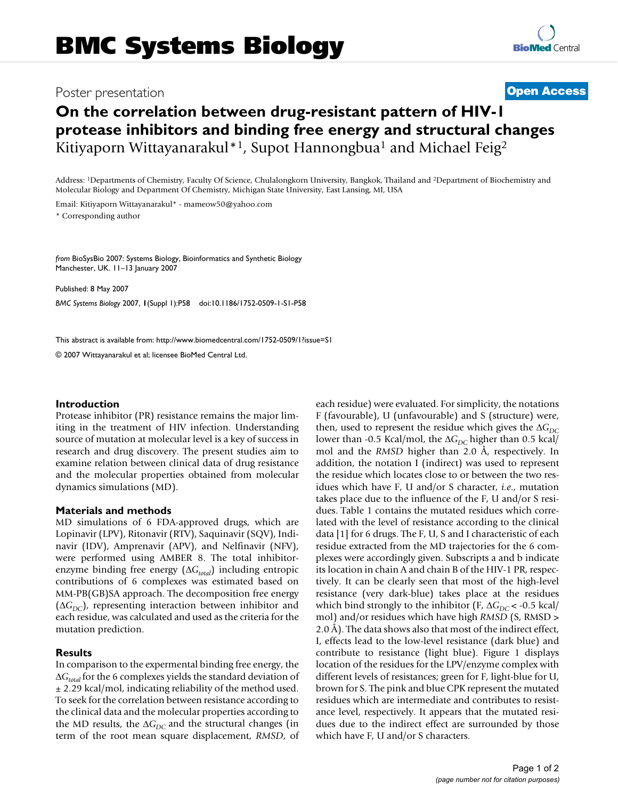## Poster presentation **Contract Contract Contract Contract Contract Contract Contract Contract Contract Contract Contract Contract Contract Contract Contract Contract Contract Contract Contract Contract Contract Contract Con**

# **On the correlation between drug-resistant pattern of HIV-1 protease inhibitors and binding free energy and structural changes** Kitiyaporn Wittayanarakul<sup>\*1</sup>, Supot Hannongbua<sup>1</sup> and Michael Feig<sup>2</sup>

Address: 1Departments of Chemistry, Faculty Of Science, Chulalongkorn University, Bangkok, Thailand and 2Department of Biochemistry and Molecular Biology and Department Of Chemistry, Michigan State University, East Lansing, MI, USA

Email: Kitiyaporn Wittayanarakul\* - mameow50@yahoo.com \* Corresponding author

*from* BioSysBio 2007: Systems Biology, Bioinformatics and Synthetic Biology Manchester, UK. 11–13 January 2007

Published: 8 May 2007 *BMC Systems Biology* 2007, **1**(Suppl 1):P58 doi:10.1186/1752-0509-1-S1-P58

[This abstract is available from: http://www.biomedcentral.com/1752-0509/1?issue=S1](http://www.biomedcentral.com/1752-0509/1?issue=S1)

© 2007 Wittayanarakul et al; licensee BioMed Central Ltd.

#### **Introduction**

Protease inhibitor (PR) resistance remains the major limiting in the treatment of HIV infection. Understanding source of mutation at molecular level is a key of success in research and drug discovery. The present studies aim to examine relation between clinical data of drug resistance and the molecular properties obtained from molecular dynamics simulations (MD).

#### **Materials and methods**

MD simulations of 6 FDA-approved drugs, which are Lopinavir (LPV), Ritonavir (RTV), Saquinavir (SQV), Indinavir (IDV), Amprenavir (APV), and Nelfinavir (NFV), were performed using AMBER 8. The total inhibitorenzyme binding free energy (ΔG<sub>total</sub>) including entropic contributions of 6 complexes was estimated based on MM-PB(GB)SA approach. The decomposition free energy  $(\Delta G_{DC})$ , representing interaction between inhibitor and each residue, was calculated and used as the criteria for the mutation prediction.

#### **Results**

In comparison to the expermental binding free energy, the Δ*Gtotal* for the 6 complexes yields the standard deviation of  $\pm$  2.29 kcal/mol, indicating reliability of the method used. To seek for the correlation between resistance according to the clinical data and the molecular properties according to the MD results, the  $\Delta G_{DC}$  and the structural changes (in term of the root mean square displacement, *RMSD*, of each residue) were evaluated. For simplicity, the notations F (favourable), U (unfavourable) and S (structure) were, then, used to represent the residue which gives the  $\Delta G_{DC}$ lower than -0.5 Kcal/mol, the ΔG<sub>DC</sub> higher than 0.5 kcal/ mol and the *RMSD* higher than 2.0 Å, respectively. In addition, the notation I (indirect) was used to represent the residue which locates close to or between the two residues which have F, U and/or S character, *i.e*., mutation takes place due to the influence of the F, U and/or S residues. Table 1 contains the mutated residues which correlated with the level of resistance according to the clinical data [1] for 6 drugs. The F, U, S and I characteristic of each residue extracted from the MD trajectories for the 6 complexes were accordingly given. Subscripts a and b indicate its location in chain A and chain B of the HIV-1 PR, respectively. It can be clearly seen that most of the high-level resistance (very dark-blue) takes place at the residues which bind strongly to the inhibitor (F,  $\Delta G_{DC}$  < -0.5 kcal/ mol) and/or residues which have high *RMSD* (S, RMSD > 2.0 Å). The data shows also that most of the indirect effect, I, effects lead to the low-level resistance (dark blue) and contribute to resistance (light blue). Figure 1 displays location of the residues for the LPV/enzyme complex with different levels of resistances; green for F, light-blue for U, brown for S. The pink and blue CPK represent the mutated residues which are intermediate and contributes to resistance level, respectively. It appears that the mutated residues due to the indirect effect are surrounded by those which have F, U and/or S characters.